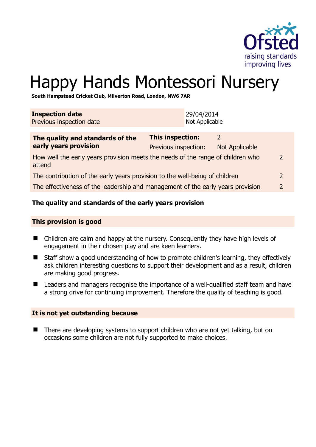

2

# Happy Hands Montessori Nursery

**South Hampstead Cricket Club, Milverton Road, London, NW6 7AR** 

| <b>Inspection date</b><br>Previous inspection date                                        |                                                 | 29/04/2014<br>Not Applicable |                            |
|-------------------------------------------------------------------------------------------|-------------------------------------------------|------------------------------|----------------------------|
| The quality and standards of the<br>early years provision                                 | <b>This inspection:</b><br>Previous inspection: |                              | 2<br><b>Not Applicable</b> |
| How well the early years provision meets the needs of the range of children who<br>attend |                                                 |                              |                            |

| The contribution of the early years provision to the well-being of children     |  |
|---------------------------------------------------------------------------------|--|
| The effectiveness of the leadership and management of the early years provision |  |

# **The quality and standards of the early years provision**

#### **This provision is good**

- Children are calm and happy at the nursery. Consequently they have high levels of engagement in their chosen play and are keen learners.
- Staff show a good understanding of how to promote children's learning, they effectively ask children interesting questions to support their development and as a result, children are making good progress.
- Leaders and managers recognise the importance of a well-qualified staff team and have a strong drive for continuing improvement. Therefore the quality of teaching is good.

#### **It is not yet outstanding because**

■ There are developing systems to support children who are not yet talking, but on occasions some children are not fully supported to make choices.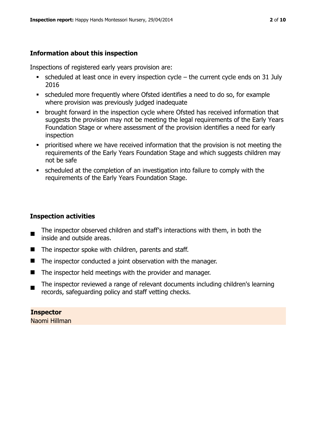# **Information about this inspection**

Inspections of registered early years provision are:

- scheduled at least once in every inspection cycle the current cycle ends on 31 July 2016
- scheduled more frequently where Ofsted identifies a need to do so, for example where provision was previously judged inadequate
- **•** brought forward in the inspection cycle where Ofsted has received information that suggests the provision may not be meeting the legal requirements of the Early Years Foundation Stage or where assessment of the provision identifies a need for early inspection
- **•** prioritised where we have received information that the provision is not meeting the requirements of the Early Years Foundation Stage and which suggests children may not be safe
- scheduled at the completion of an investigation into failure to comply with the requirements of the Early Years Foundation Stage.

# **Inspection activities**

- The inspector observed children and staff's interactions with them, in both the inside and outside areas.
- $\blacksquare$  The inspector spoke with children, parents and staff.
- The inspector conducted a joint observation with the manager.
- $\blacksquare$  The inspector held meetings with the provider and manager.
- The inspector reviewed a range of relevant documents including children's learning records, safeguarding policy and staff vetting checks.

**Inspector**  Naomi Hillman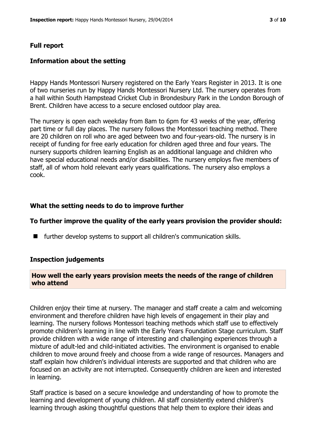#### **Full report**

#### **Information about the setting**

Happy Hands Montessori Nursery registered on the Early Years Register in 2013. It is one of two nurseries run by Happy Hands Montessori Nursery Ltd. The nursery operates from a hall within South Hampstead Cricket Club in Brondesbury Park in the London Borough of Brent. Children have access to a secure enclosed outdoor play area.

The nursery is open each weekday from 8am to 6pm for 43 weeks of the year, offering part time or full day places. The nursery follows the Montessori teaching method. There are 20 children on roll who are aged between two and four-years-old. The nursery is in receipt of funding for free early education for children aged three and four years. The nursery supports children learning English as an additional language and children who have special educational needs and/or disabilities. The nursery employs five members of staff, all of whom hold relevant early years qualifications. The nursery also employs a cook.

#### **What the setting needs to do to improve further**

#### **To further improve the quality of the early years provision the provider should:**

■ further develop systems to support all children's communication skills.

#### **Inspection judgements**

#### **How well the early years provision meets the needs of the range of children who attend**

Children enjoy their time at nursery. The manager and staff create a calm and welcoming environment and therefore children have high levels of engagement in their play and learning. The nursery follows Montessori teaching methods which staff use to effectively promote children's learning in line with the Early Years Foundation Stage curriculum. Staff provide children with a wide range of interesting and challenging experiences through a mixture of adult-led and child-initiated activities. The environment is organised to enable children to move around freely and choose from a wide range of resources. Managers and staff explain how children's individual interests are supported and that children who are focused on an activity are not interrupted. Consequently children are keen and interested in learning.

Staff practice is based on a secure knowledge and understanding of how to promote the learning and development of young children. All staff consistently extend children's learning through asking thoughtful questions that help them to explore their ideas and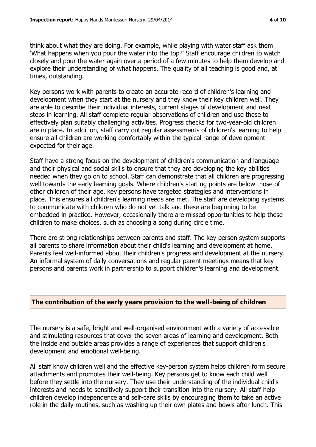think about what they are doing. For example, while playing with water staff ask them 'What happens when you pour the water into the top?' Staff encourage children to watch closely and pour the water again over a period of a few minutes to help them develop and explore their understanding of what happens. The quality of all teaching is good and, at times, outstanding.

Key persons work with parents to create an accurate record of children's learning and development when they start at the nursery and they know their key children well. They are able to describe their individual interests, current stages of development and next steps in learning. All staff complete regular observations of children and use these to effectively plan suitably challenging activities. Progress checks for two-year-old children are in place. In addition, staff carry out regular assessments of children's learning to help ensure all children are working comfortably within the typical range of development expected for their age.

Staff have a strong focus on the development of children's communication and language and their physical and social skills to ensure that they are developing the key abilities needed when they go on to school. Staff can demonstrate that all children are progressing well towards the early learning goals. Where children's starting points are below those of other children of their age, key persons have targeted strategies and interventions in place. This ensures all children's learning needs are met. The staff are developing systems to communicate with children who do not yet talk and these are beginning to be embedded in practice. However, occasionally there are missed opportunities to help these children to make choices, such as choosing a song during circle time.

There are strong relationships between parents and staff. The key person system supports all parents to share information about their child's learning and development at home. Parents feel well-informed about their children's progress and development at the nursery. An informal system of daily conversations and regular parent meetings means that key persons and parents work in partnership to support children's learning and development.

#### **The contribution of the early years provision to the well-being of children**

The nursery is a safe, bright and well-organised environment with a variety of accessible and stimulating resources that cover the seven areas of learning and development. Both the inside and outside areas provides a range of experiences that support children's development and emotional well-being.

All staff know children well and the effective key-person system helps children form secure attachments and promotes their well-being. Key persons get to know each child well before they settle into the nursery. They use their understanding of the individual child's interests and needs to sensitively support their transition into the nursery. All staff help children develop independence and self-care skills by encouraging them to take an active role in the daily routines, such as washing up their own plates and bowls after lunch. This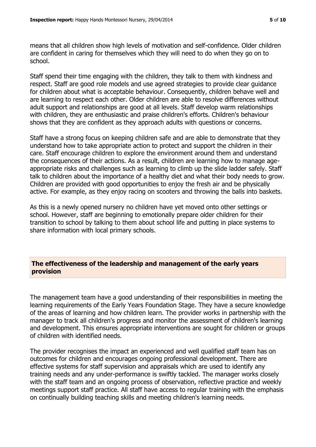means that all children show high levels of motivation and self-confidence. Older children are confident in caring for themselves which they will need to do when they go on to school.

Staff spend their time engaging with the children, they talk to them with kindness and respect. Staff are good role models and use agreed strategies to provide clear guidance for children about what is acceptable behaviour. Consequently, children behave well and are learning to respect each other. Older children are able to resolve differences without adult support and relationships are good at all levels. Staff develop warm relationships with children, they are enthusiastic and praise children's efforts. Children's behaviour shows that they are confident as they approach adults with questions or concerns.

Staff have a strong focus on keeping children safe and are able to demonstrate that they understand how to take appropriate action to protect and support the children in their care. Staff encourage children to explore the environment around them and understand the consequences of their actions. As a result, children are learning how to manage ageappropriate risks and challenges such as learning to climb up the slide ladder safely. Staff talk to children about the importance of a healthy diet and what their body needs to grow. Children are provided with good opportunities to enjoy the fresh air and be physically active. For example, as they enjoy racing on scooters and throwing the balls into baskets.

As this is a newly opened nursery no children have yet moved onto other settings or school. However, staff are beginning to emotionally prepare older children for their transition to school by talking to them about school life and putting in place systems to share information with local primary schools.

#### **The effectiveness of the leadership and management of the early years provision**

The management team have a good understanding of their responsibilities in meeting the learning requirements of the Early Years Foundation Stage. They have a secure knowledge of the areas of learning and how children learn. The provider works in partnership with the manager to track all children's progress and monitor the assessment of children's learning and development. This ensures appropriate interventions are sought for children or groups of children with identified needs.

The provider recognises the impact an experienced and well qualified staff team has on outcomes for children and encourages ongoing professional development. There are effective systems for staff supervision and appraisals which are used to identify any training needs and any under-performance is swiftly tackled. The manager works closely with the staff team and an ongoing process of observation, reflective practice and weekly meetings support staff practice. All staff have access to regular training with the emphasis on continually building teaching skills and meeting children's learning needs.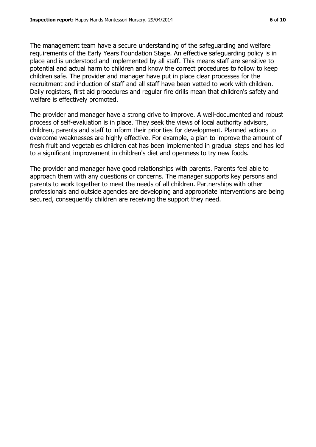The management team have a secure understanding of the safeguarding and welfare requirements of the Early Years Foundation Stage. An effective safeguarding policy is in place and is understood and implemented by all staff. This means staff are sensitive to potential and actual harm to children and know the correct procedures to follow to keep children safe. The provider and manager have put in place clear processes for the recruitment and induction of staff and all staff have been vetted to work with children. Daily registers, first aid procedures and regular fire drills mean that children's safety and welfare is effectively promoted.

The provider and manager have a strong drive to improve. A well-documented and robust process of self-evaluation is in place. They seek the views of local authority advisors, children, parents and staff to inform their priorities for development. Planned actions to overcome weaknesses are highly effective. For example, a plan to improve the amount of fresh fruit and vegetables children eat has been implemented in gradual steps and has led to a significant improvement in children's diet and openness to try new foods.

The provider and manager have good relationships with parents. Parents feel able to approach them with any questions or concerns. The manager supports key persons and parents to work together to meet the needs of all children. Partnerships with other professionals and outside agencies are developing and appropriate interventions are being secured, consequently children are receiving the support they need.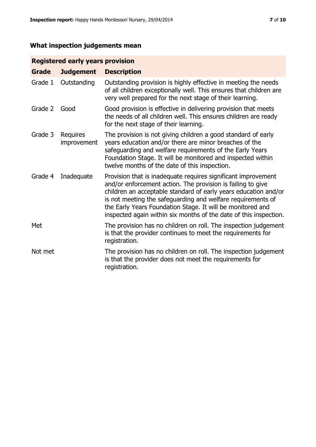# **What inspection judgements mean**

# **Registered early years provision**

| <b>Grade</b> | <b>Judgement</b>        | <b>Description</b>                                                                                                                                                                                                                                                                                                                                                                                |
|--------------|-------------------------|---------------------------------------------------------------------------------------------------------------------------------------------------------------------------------------------------------------------------------------------------------------------------------------------------------------------------------------------------------------------------------------------------|
| Grade 1      | Outstanding             | Outstanding provision is highly effective in meeting the needs<br>of all children exceptionally well. This ensures that children are<br>very well prepared for the next stage of their learning.                                                                                                                                                                                                  |
| Grade 2      | Good                    | Good provision is effective in delivering provision that meets<br>the needs of all children well. This ensures children are ready<br>for the next stage of their learning.                                                                                                                                                                                                                        |
| Grade 3      | Requires<br>improvement | The provision is not giving children a good standard of early<br>years education and/or there are minor breaches of the<br>safeguarding and welfare requirements of the Early Years<br>Foundation Stage. It will be monitored and inspected within<br>twelve months of the date of this inspection.                                                                                               |
| Grade 4      | Inadequate              | Provision that is inadequate requires significant improvement<br>and/or enforcement action. The provision is failing to give<br>children an acceptable standard of early years education and/or<br>is not meeting the safeguarding and welfare requirements of<br>the Early Years Foundation Stage. It will be monitored and<br>inspected again within six months of the date of this inspection. |
| Met          |                         | The provision has no children on roll. The inspection judgement<br>is that the provider continues to meet the requirements for<br>registration.                                                                                                                                                                                                                                                   |
| Not met      |                         | The provision has no children on roll. The inspection judgement<br>is that the provider does not meet the requirements for<br>registration.                                                                                                                                                                                                                                                       |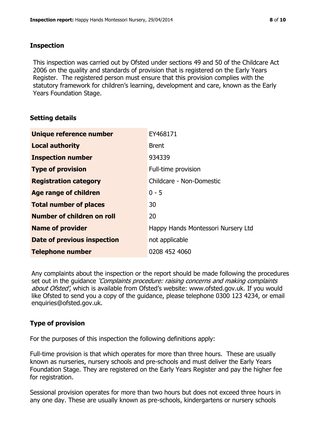### **Inspection**

This inspection was carried out by Ofsted under sections 49 and 50 of the Childcare Act 2006 on the quality and standards of provision that is registered on the Early Years Register. The registered person must ensure that this provision complies with the statutory framework for children's learning, development and care, known as the Early Years Foundation Stage.

## **Setting details**

| Unique reference number           | EY468171                           |
|-----------------------------------|------------------------------------|
| <b>Local authority</b>            | <b>Brent</b>                       |
| <b>Inspection number</b>          | 934339                             |
| <b>Type of provision</b>          | Full-time provision                |
| <b>Registration category</b>      | Childcare - Non-Domestic           |
| Age range of children             | $0 - 5$                            |
| <b>Total number of places</b>     | 30                                 |
| <b>Number of children on roll</b> | 20                                 |
| <b>Name of provider</b>           | Happy Hands Montessori Nursery Ltd |
| Date of previous inspection       | not applicable                     |
| <b>Telephone number</b>           | 0208 452 4060                      |

Any complaints about the inspection or the report should be made following the procedures set out in the guidance *'Complaints procedure: raising concerns and making complaints* about Ofsted', which is available from Ofsted's website: www.ofsted.gov.uk. If you would like Ofsted to send you a copy of the guidance, please telephone 0300 123 4234, or email enquiries@ofsted.gov.uk.

## **Type of provision**

For the purposes of this inspection the following definitions apply:

Full-time provision is that which operates for more than three hours. These are usually known as nurseries, nursery schools and pre-schools and must deliver the Early Years Foundation Stage. They are registered on the Early Years Register and pay the higher fee for registration.

Sessional provision operates for more than two hours but does not exceed three hours in any one day. These are usually known as pre-schools, kindergartens or nursery schools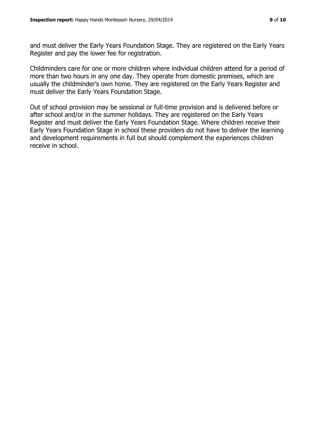and must deliver the Early Years Foundation Stage. They are registered on the Early Years Register and pay the lower fee for registration.

Childminders care for one or more children where individual children attend for a period of more than two hours in any one day. They operate from domestic premises, which are usually the childminder's own home. They are registered on the Early Years Register and must deliver the Early Years Foundation Stage.

Out of school provision may be sessional or full-time provision and is delivered before or after school and/or in the summer holidays. They are registered on the Early Years Register and must deliver the Early Years Foundation Stage. Where children receive their Early Years Foundation Stage in school these providers do not have to deliver the learning and development requirements in full but should complement the experiences children receive in school.